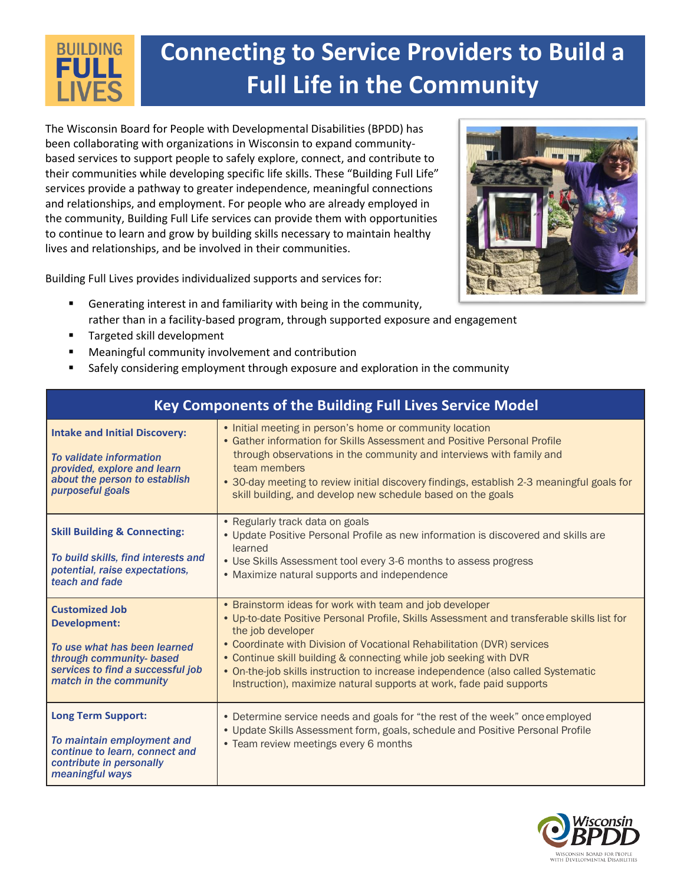## **Connecting to Service Providers to Build a BUILDING** FULI **Full Life in the Community**

The Wisconsin Board for People with Developmental Disabilities (BPDD) has been collaborating with organizations in Wisconsin to expand communitybased services to support people to safely explore, connect, and contribute to their communities while developing specific life skills. These "Building Full Life" services provide a pathway to greater independence, meaningful connections and relationships, and employment. For people who are already employed in the community, Building Full Life services can provide them with opportunities to continue to learn and grow by building skills necessary to maintain healthy lives and relationships, and be involved in their communities.

Building Full Lives provides individualized supports and services for:



- Generating interest in and familiarity with being in the community, rather than in a facility-based program, through supported exposure and engagement
- Targeted skill development
- Meaningful community involvement and contribution
- Safely considering employment through exposure and exploration in the community

| Key Components of the Building Full Lives Service Model                                                                                                                 |                                                                                                                                                                                                                                                                                                                                                                                                                                                                                      |  |
|-------------------------------------------------------------------------------------------------------------------------------------------------------------------------|--------------------------------------------------------------------------------------------------------------------------------------------------------------------------------------------------------------------------------------------------------------------------------------------------------------------------------------------------------------------------------------------------------------------------------------------------------------------------------------|--|
| <b>Intake and Initial Discovery:</b><br>To validate information<br>provided, explore and learn<br>about the person to establish<br>purposeful goals                     | • Initial meeting in person's home or community location<br>• Gather information for Skills Assessment and Positive Personal Profile<br>through observations in the community and interviews with family and<br>team members<br>• 30-day meeting to review initial discovery findings, establish 2-3 meaningful goals for<br>skill building, and develop new schedule based on the goals                                                                                             |  |
| <b>Skill Building &amp; Connecting:</b><br>To build skills, find interests and<br>potential, raise expectations,<br>teach and fade                                      | • Regularly track data on goals<br>. Update Positive Personal Profile as new information is discovered and skills are<br>learned<br>• Use Skills Assessment tool every 3-6 months to assess progress<br>• Maximize natural supports and independence                                                                                                                                                                                                                                 |  |
| <b>Customized Job</b><br><b>Development:</b><br>To use what has been learned<br>through community- based<br>services to find a successful job<br>match in the community | • Brainstorm ideas for work with team and job developer<br>. Up-to-date Positive Personal Profile, Skills Assessment and transferable skills list for<br>the job developer<br>• Coordinate with Division of Vocational Rehabilitation (DVR) services<br>• Continue skill building & connecting while job seeking with DVR<br>• On-the-job skills instruction to increase independence (also called Systematic<br>Instruction), maximize natural supports at work, fade paid supports |  |
| <b>Long Term Support:</b><br>To maintain employment and<br>continue to learn, connect and<br>contribute in personally<br>meaningful ways                                | • Determine service needs and goals for "the rest of the week" once employed<br>. Update Skills Assessment form, goals, schedule and Positive Personal Profile<br>• Team review meetings every 6 months                                                                                                                                                                                                                                                                              |  |

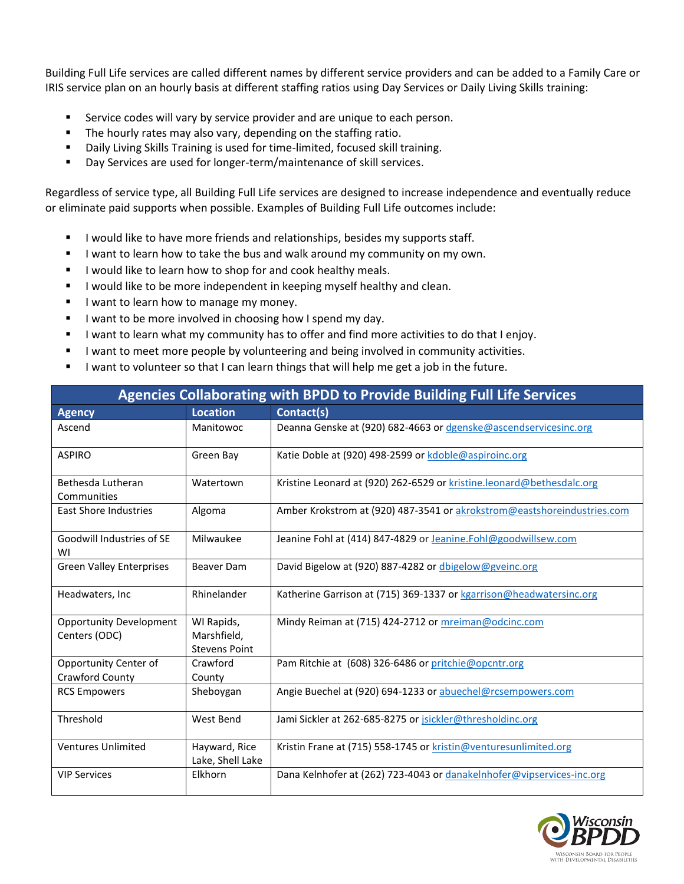Building Full Life services are called different names by different service providers and can be added to a Family Care or IRIS service plan on an hourly basis at different staffing ratios using Day Services or Daily Living Skills training:

- Service codes will vary by service provider and are unique to each person.
- The hourly rates may also vary, depending on the staffing ratio.
- Daily Living Skills Training is used for time-limited, focused skill training.
- Day Services are used for longer-term/maintenance of skill services.

Regardless of service type, all Building Full Life services are designed to increase independence and eventually reduce or eliminate paid supports when possible. Examples of Building Full Life outcomes include:

- **EXEDENT I** would like to have more friends and relationships, besides my supports staff.
- **■** I want to learn how to take the bus and walk around my community on my own.
- **■** I would like to learn how to shop for and cook healthy meals.
- I would like to be more independent in keeping myself healthy and clean.
- I want to learn how to manage my money.
- I want to be more involved in choosing how I spend my day.
- I want to learn what my community has to offer and find more activities to do that I enjoy.
- I want to meet more people by volunteering and being involved in community activities.
- I want to volunteer so that I can learn things that will help me get a job in the future.

| <b>Agencies Collaborating with BPDD to Provide Building Full Life Services</b> |                                                   |                                                                         |  |
|--------------------------------------------------------------------------------|---------------------------------------------------|-------------------------------------------------------------------------|--|
| <b>Agency</b>                                                                  | <b>Location</b>                                   | Contact(s)                                                              |  |
| Ascend                                                                         | Manitowoc                                         | Deanna Genske at (920) 682-4663 or dgenske@ascendservicesinc.org        |  |
| <b>ASPIRO</b>                                                                  | Green Bay                                         | Katie Doble at (920) 498-2599 or kdoble@aspiroinc.org                   |  |
| Bethesda Lutheran<br>Communities                                               | Watertown                                         | Kristine Leonard at (920) 262-6529 or kristine.leonard@bethesdalc.org   |  |
| <b>East Shore Industries</b>                                                   | Algoma                                            | Amber Krokstrom at (920) 487-3541 or akrokstrom@eastshoreindustries.com |  |
| Goodwill Industries of SE<br>WI                                                | Milwaukee                                         | Jeanine Fohl at (414) 847-4829 or Jeanine. Fohl@goodwillsew.com         |  |
| <b>Green Valley Enterprises</b>                                                | <b>Beaver Dam</b>                                 | David Bigelow at (920) 887-4282 or dbigelow@gveinc.org                  |  |
| Headwaters, Inc.                                                               | Rhinelander                                       | Katherine Garrison at (715) 369-1337 or kgarrison@headwatersinc.org     |  |
| <b>Opportunity Development</b><br>Centers (ODC)                                | WI Rapids,<br>Marshfield,<br><b>Stevens Point</b> | Mindy Reiman at (715) 424-2712 or mreiman@odcinc.com                    |  |
| Opportunity Center of<br>Crawford County                                       | Crawford<br>County                                | Pam Ritchie at (608) 326-6486 or pritchie@opcntr.org                    |  |
| <b>RCS Empowers</b>                                                            | Sheboygan                                         | Angie Buechel at (920) 694-1233 or abuechel@rcsempowers.com             |  |
| Threshold                                                                      | West Bend                                         | Jami Sickler at 262-685-8275 or jsickler@thresholdinc.org               |  |
| <b>Ventures Unlimited</b>                                                      | Hayward, Rice<br>Lake, Shell Lake                 | Kristin Frane at (715) 558-1745 or kristin@venturesunlimited.org        |  |
| <b>VIP Services</b>                                                            | Elkhorn                                           | Dana Kelnhofer at (262) 723-4043 or danakelnhofer@vipservices-inc.org   |  |